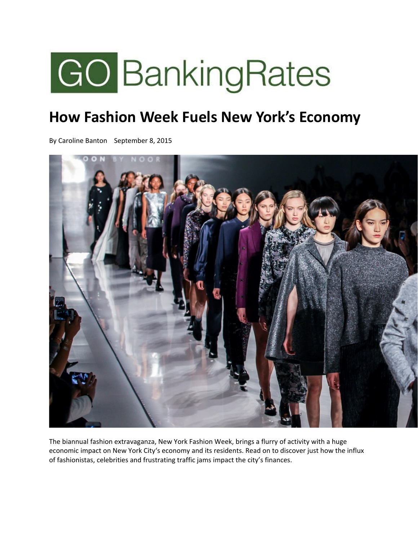

# **How Fashion Week Fuels New York's Economy**

By Caroline Banton September 8, 2015



The biannual fashion extravaganza, New York Fashion Week, brings a flurry of activity with a huge economic impact on New York City's economy and its residents. Read on to discover just how the influx of fashionistas, celebrities and frustrating traffic jams impact the city's finances.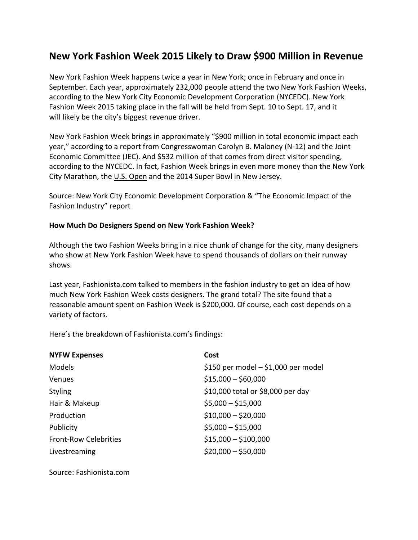# **New York Fashion Week 2015 Likely to Draw \$900 Million in Revenue**

New York Fashion Week happens twice a year in New York; once in February and once in September. Each year, approximately 232,000 people attend the two New York Fashion Weeks, according to the New York City Economic Development Corporation (NYCEDC). New York Fashion Week 2015 taking place in the fall will be held from Sept. 10 to Sept. 17, and it will likely be the city's biggest revenue driver.

New York Fashion Week brings in approximately "\$900 million in total economic impact each year," according to a report from Congresswoman Carolyn B. Maloney (N‐12) and the Joint Economic Committee (JEC). And \$532 million of that comes from direct visitor spending, according to the NYCEDC. In fact, Fashion Week brings in even more money than the New York City Marathon, the U.S. Open and the 2014 Super Bowl in New Jersey.

Source: New York City Economic Development Corporation & "The Economic Impact of the Fashion Industry" report

#### **How Much Do Designers Spend on New York Fashion Week?**

Although the two Fashion Weeks bring in a nice chunk of change for the city, many designers who show at New York Fashion Week have to spend thousands of dollars on their runway shows.

Last year, Fashionista.com talked to members in the fashion industry to get an idea of how much New York Fashion Week costs designers. The grand total? The site found that a reasonable amount spent on Fashion Week is \$200,000. Of course, each cost depends on a variety of factors.

Here's the breakdown of Fashionista.com's findings:

| <b>NYFW Expenses</b>         | Cost                                |
|------------------------------|-------------------------------------|
| <b>Models</b>                | \$150 per model - \$1,000 per model |
| <b>Venues</b>                | $$15,000 - $60,000$                 |
| <b>Styling</b>               | \$10,000 total or \$8,000 per day   |
| Hair & Makeup                | $$5,000 - $15,000$                  |
| Production                   | $$10,000 - $20,000$                 |
| Publicity                    | $$5,000 - $15,000$                  |
| <b>Front-Row Celebrities</b> | $$15,000 - $100,000$                |
| Livestreaming                | $$20,000 - $50,000$                 |

Source: Fashionista.com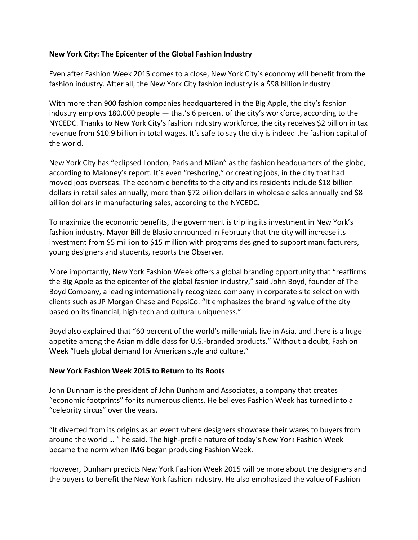### **New York City: The Epicenter of the Global Fashion Industry**

Even after Fashion Week 2015 comes to a close, New York City's economy will benefit from the fashion industry. After all, the New York City fashion industry is a \$98 billion industry

With more than 900 fashion companies headquartered in the Big Apple, the city's fashion industry employs 180,000 people — that's 6 percent of the city's workforce, according to the NYCEDC. Thanks to New York City's fashion industry workforce, the city receives \$2 billion in tax revenue from \$10.9 billion in total wages. It's safe to say the city is indeed the fashion capital of the world.

New York City has "eclipsed London, Paris and Milan" as the fashion headquarters of the globe, according to Maloney's report. It's even "reshoring," or creating jobs, in the city that had moved jobs overseas. The economic benefits to the city and its residents include \$18 billion dollars in retail sales annually, more than \$72 billion dollars in wholesale sales annually and \$8 billion dollars in manufacturing sales, according to the NYCEDC.

To maximize the economic benefits, the government is tripling its investment in New York's fashion industry. Mayor Bill de Blasio announced in February that the city will increase its investment from \$5 million to \$15 million with programs designed to support manufacturers, young designers and students, reports the Observer.

More importantly, New York Fashion Week offers a global branding opportunity that "reaffirms the Big Apple as the epicenter of the global fashion industry," said John Boyd, founder of The Boyd Company, a leading internationally recognized company in corporate site selection with clients such as JP Morgan Chase and PepsiCo. "It emphasizes the branding value of the city based on its financial, high-tech and cultural uniqueness."

Boyd also explained that "60 percent of the world's millennials live in Asia, and there is a huge appetite among the Asian middle class for U.S.‐branded products." Without a doubt, Fashion Week "fuels global demand for American style and culture."

#### **New York Fashion Week 2015 to Return to its Roots**

John Dunham is the president of John Dunham and Associates, a company that creates "economic footprints" for its numerous clients. He believes Fashion Week has turned into a "celebrity circus" over the years.

"It diverted from its origins as an event where designers showcase their wares to buyers from around the world … " he said. The high‐profile nature of today's New York Fashion Week became the norm when IMG began producing Fashion Week.

However, Dunham predicts New York Fashion Week 2015 will be more about the designers and the buyers to benefit the New York fashion industry. He also emphasized the value of Fashion